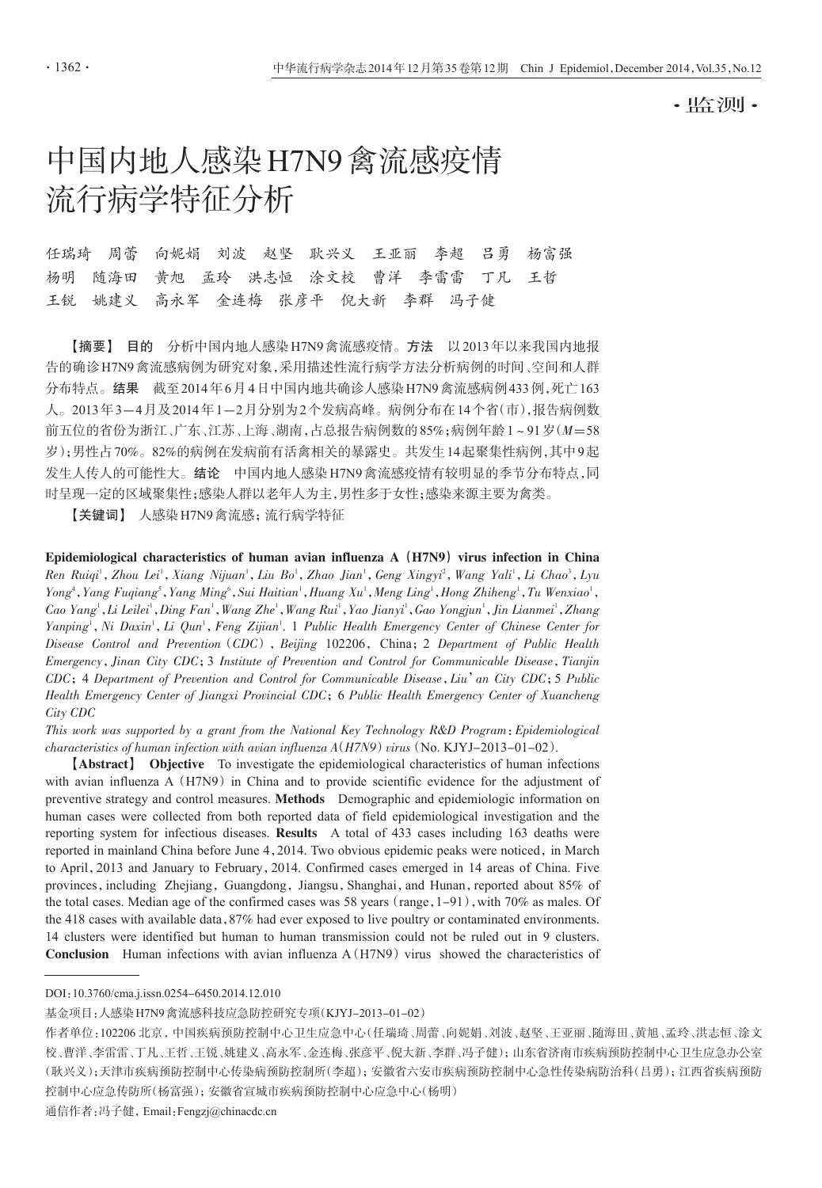·监测·

# 中国内地人感染H7N9禽流感疫情 流行病学特征分析

任瑞琦 周蕾 向妮娟 刘波 赵坚 耿兴义 王亚丽 李超 吕勇 杨富强 杨明 随海田 黄旭 孟玲 洪志恒 涂文校 曹洋 李雷雷 丁凡 王哲 王锐 姚建义 高永军 金连梅 张彦平 倪大新 李群 冯子健

【摘要】 目的 分析中国内地人感染H7N9禽流感疫情。方法 以2013年以来我国内地报 告的确诊H7N9禽流感病例为研究对象,采用描述性流行病学方法分析病例的时间、空间和人群 分布特点。结果 截至2014年6月4日中国内地共确诊人感染H7N9禽流感病例433例,死亡163 人。2013年3-4月及2014年1-2月分别为2个发病高峰。病例分布在14个省(市),报告病例数 前五位的省份为浙江、广东、江苏、上海、湖南,占总报告病例数的85%;病例年龄1~91岁(M=58 岁);男性占70%。82%的病例在发病前有活禽相关的暴露史。共发生14起聚集性病例,其中9起 发生人传人的可能性大。结论 中国内地人感染H7N9禽流感疫情有较明显的季节分布特点,同 时呈现一定的区域聚集性;感染人群以老年人为主,男性多于女性;感染来源主要为禽类。

【关键词】 人感染H7N9禽流感;流行病学特征

Epidemiological characteristics of human avian influenza  $A(H7N9)$  virus infection in China  $R$ en  $Ruiqi<sup>1</sup>, Zhou Lei<sup>1</sup>, Xiang Nijuan<sup>1</sup>, Liu Bo<sup>1</sup>, Zhao Jian<sup>1</sup>, Geng Xingyi<sup>2</sup>, Wang Yali<sup>1</sup>, Li Chao<sup>3</sup>, Lyu$ Yong<sup>4</sup>, Yang Fuqiang<sup>5</sup>, Yang Ming<sup>6</sup>, Sui Haitian<sup>1</sup>, Huang Xu<sup>1</sup>, Meng Ling<sup>1</sup>, Hong Zhiheng<sup>1</sup>, Tu Wenxiao<sup>1</sup>, Cao Yang<sup>i</sup> , Li Leilei<sup>1</sup> , Ding Fan<sup>1</sup> , Wang Zhe<sup>1</sup> , Wang Rui<sup>1</sup> , Yao Jianyi<sup>1</sup> , Gao Yongjun<sup>1</sup> , Jin Lianmei<sup>1</sup> , Zhang Yanping<sup>1</sup>, Ni Daxin<sup>1</sup>, Li Qun<sup>1</sup>, Feng Zijian<sup>1</sup>. 1 Public Health Emergency Center of Chinese Center for Disease Control and Prevention (CDC), Beijing 102206, China; 2 Department of Public Health Emergency,Jinan City CDC;3 Institute of Prevention and Control for Communicable Disease,Tianjin CDC;4 Department of Prevention and Control for Communicable Disease,Liu'an City CDC;5 Public Health Emergency Center of Jiangxi Provincial CDC;6 Public Health Emergency Center of Xuancheng City CDC

This work was supported by a grant from the National Key Technology R&D Program:Epidemiological characteristics of human infection with avian influenza  $A(H7N9)$  virus (No. KJYJ-2013-01-02).

【Abstract】 Objective To investigate the epidemiological characteristics of human infections with avian influenza A  $(H7N9)$  in China and to provide scientific evidence for the adjustment of preventive strategy and control measures. Methods Demographic and epidemiologic information on human cases were collected from both reported data of field epidemiological investigation and the reporting system for infectious diseases. Results A total of 433 cases including 163 deaths were reported in mainland China before June 4, 2014. Two obvious epidemic peaks were noticed, in March to April,2013 and January to February,2014. Confirmed cases emerged in 14 areas of China. Five provinces, including Zhejiang, Guangdong, Jiangsu, Shanghai, and Hunan, reported about 85% of the total cases. Median age of the confirmed cases was 58 years (range,  $1-91$ ), with 70% as males. Of the 418 cases with available data,87% had ever exposed to live poultry or contaminated environments. 14 clusters were identified but human to human transmission could not be ruled out in 9 clusters. **Conclusion** Human infections with avian influenza  $A(H7N9)$  virus showed the characteristics of

DOI:10.3760/cma.j.issn.0254-6450.2014.12.010

通信作者:冯子健,Email:Fengzj@chinacdc.cn

基金项目:人感染H7N9禽流感科技应急防控研究专项(KJYJ-2013-01-02)

作者单位:102206 北京,中国疾病预防控制中心卫生应急中心(任瑞琦、周蕾、向妮娟、刘波、赵坚、王亚丽、随海田、黄旭、孟玲、洪志恒、涂文 校、曹洋、李雷雷、丁凡、王哲、天维义、高永军、金连梅、张彦平、倪大新、李群、冯子健);山东省济南市疾病预防控制中心卫生应急办公室 (耿兴义);天津市疾病预防控制中心传染病预防控制所(李超);安徽省六安市疾病预防控制中心急性传染病防治科(吕勇);江西省疾病预防 控制中心应急传防所(杨富强);安徽省宣城市疾病预防控制中心应急中心(杨明)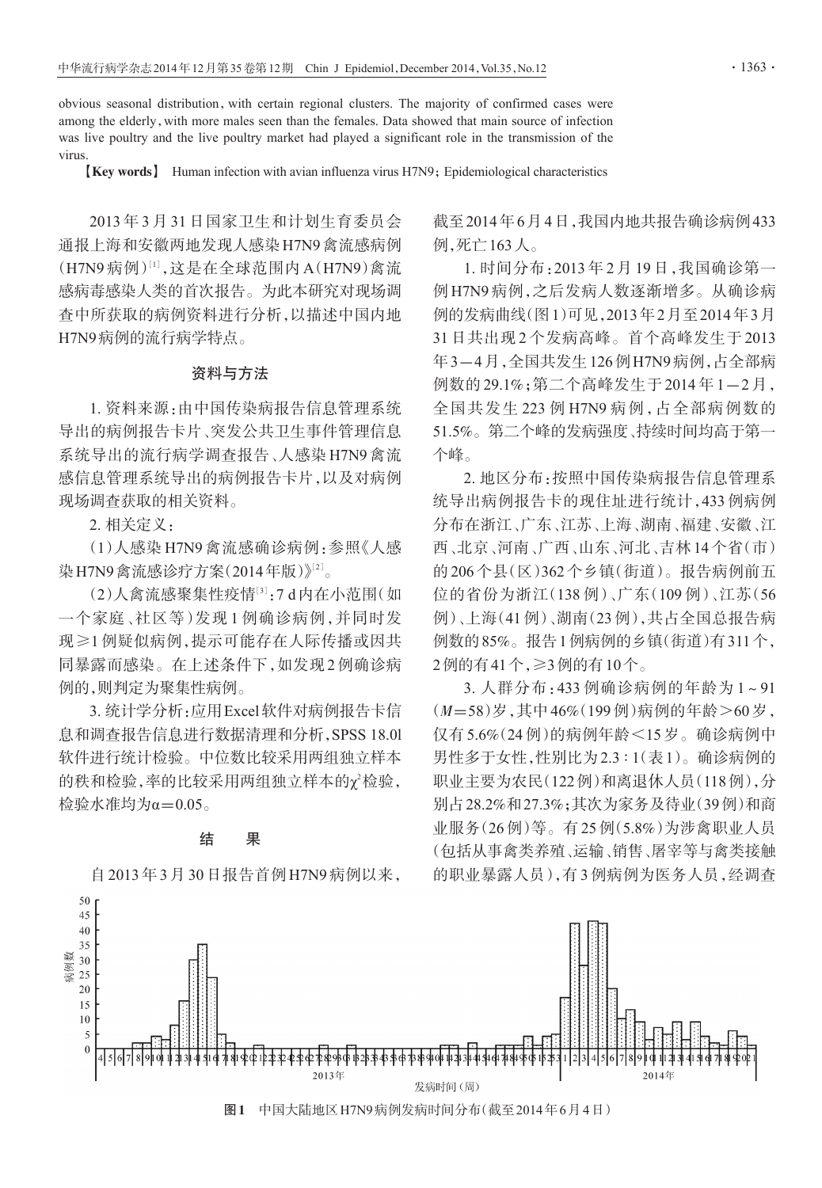obvious seasonal distribution,with certain regional clusters. The majority of confirmed cases were among the elderly, with more males seen than the females. Data showed that main source of infection was live poultry and the live poultry market had played a significant role in the transmission of the virus.

【Key words】 Human infection with avian influenza virus H7N9;Epidemiological characteristics

2013 年 3 月 31 日国家卫生和计划生育委员会 通报上海和安徽两地发现人感染H7N9禽流感病例 (H7N9 病例)[1],这是在全球范围内 A(H7N9)禽流 感病毒感染人类的首次报告。为此本研究对现场调 查中所获取的病例资料进行分析,以描述中国内地 H7N9病例的流行病学特点。

### 资料与方法

1. 资料来源:由中国传染病报告信息管理系统 导出的病例报告卡片、突发公共卫生事件管理信息 系统导出的流行病学调查报告、人感染 H7N9 禽流 感信息管理系统导出的病例报告卡片,以及对病例 现场调查获取的相关资料。

2. 相关定义:

(1)人感染 H7N9 禽流感确诊病例:参照《人感 染H7N9禽流感诊疗方案(2014年版)》<sup>[2]</sup>。

(2)人禽流感聚集性疫情<sup>[3]</sup>:7d内在小范围(如 一个家庭、社区等)发现 1 例确诊病例,并同时发 现≥1 例疑似病例,提示可能存在人际传播或因共 同暴露而感染。在上述条件下,如发现2例确诊病 例的,则判定为聚集性病例。

3. 统计学分析:应用Excel软件对病例报告卡信 息和调查报告信息进行数据清理和分析,SPSS 18.0l 软件进行统计检验。中位数比较采用两组独立样本 的秩和检验,率的比较采用两组独立样本的χ<sup>2</sup>检验, 检验水准均为α=0.05。

## 结 果

自2013年3月30日报告首例H7N9病例以来,

截至2014年6月4日,我国内地共报告确诊病例433 例,死亡163人。

1. 时间分布:2013 年 2 月 19 日,我国确诊第一 例 H7N9 病例,之后发病人数逐渐增多。从确诊病 例的发病曲线(图1)可见,2013年2月至2014年3月 31 日共出现 2 个发病高峰。首个高峰发生于 2013 年3-4月,全国共发生126例H7N9病例,占全部病 例数的 29.1%;第二个高峰发生于 2014 年 1-2 月, 全国共发生 223 例 H7N9 病例,占全部病例数的 51.5%。第二个峰的发病强度、持续时间均高于第一 个峰。

2. 地区分布:按照中国传染病报告信息管理系 统导出病例报告卡的现住址进行统计,433 例病例 分布在浙江、广东、江苏、上海、湖南、福建、安徽、江 西、北京、河南、广西、山东、河北、吉林14个省(市) 的206个县(区)362个乡镇(街道)。报告病例前五 位的省份为浙江(138 例)、广东(109 例)、江苏(56 例)、上海(41例)、湖南(23例),共占全国总报告病 例数的85%。报告1例病例的乡镇(街道)有311个, 2例的有41个,≥3例的有10个。

3. 人群分布:433 例确诊病例的年龄为 1~91 (M=58)岁,其中46%(199例)病例的年龄>60岁, 仅有5.6%(24例)的病例年龄<15岁。确诊病例中 男性多于女性,性别比为2.3 ∶ 1(表1)。确诊病例的 职业主要为农民(122例)和离退休人员(118例),分 别占28.2%和27.3%;其次为家务及待业(39例)和商 业服务(26例)等。有25例(5.8%)为涉禽职业人员 (包括从事禽类养殖、运输、销售、屠宰等与禽类接触 的职业暴露人员),有3例病例为医务人员,经调查

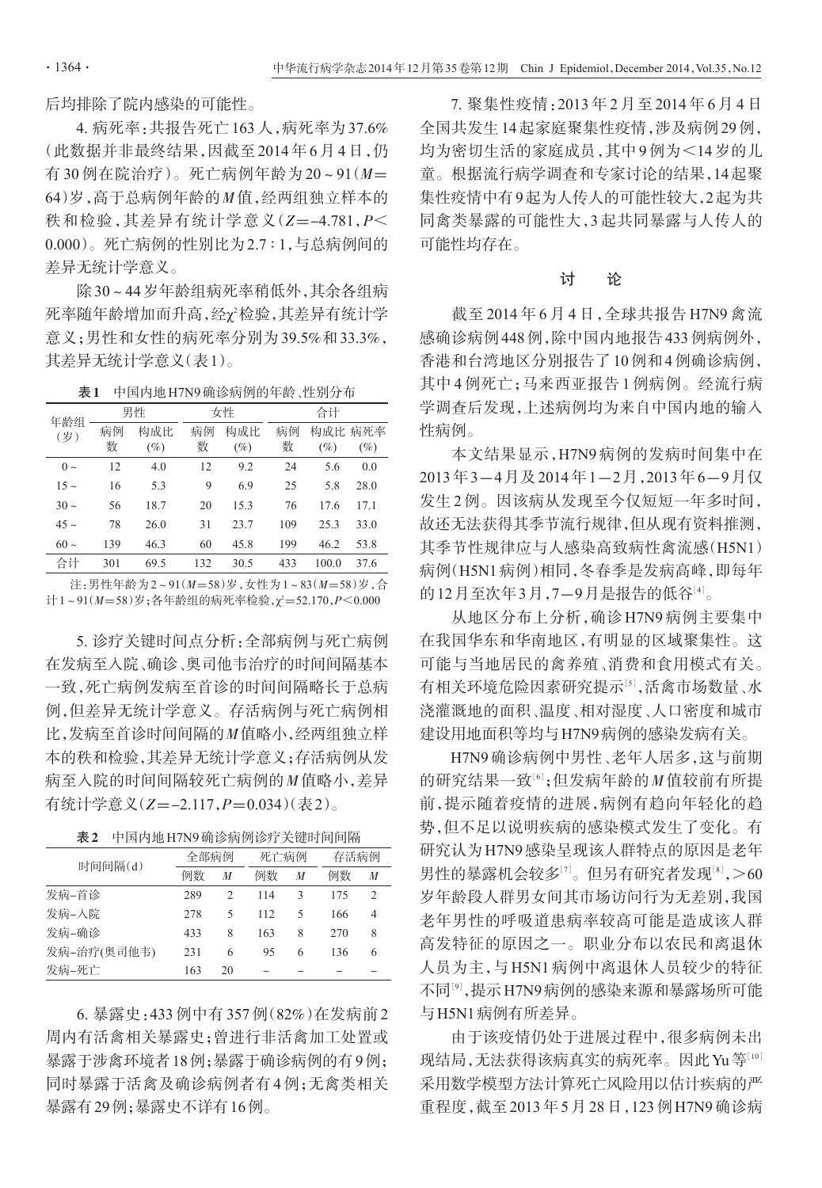后均排除了院内感染的可能性。

4. 病死率:共报告死亡163人,病死率为37.6% (此数据并非最终结果,因截至2014年6月4日,仍 有 30 例在院治疗)。死亡病例年龄为 20~91(M= 64)岁,高于总病例年龄的M值,经两组独立样本的 秩和检验,其差异有统计学意义 $(Z=-4.781, P\leq$ 0.000)。死亡病例的性别比为2.7 ∶ 1,与总病例间的 差异无统计学意义。

除30~44岁年龄组病死率稍低外,其余各组病 死率随年龄增加而升高,经χ<sup>2</sup>检验,其差异有统计学 意义;男性和女性的病死率分别为39.5%和33.3%, 其差异无统计学意义(表1)。

表1 中国内地H7N9确诊病例的年龄、性别分布

| 年龄组<br>(岁) | 男性      |               | 女性      |               | 合计      |        |                   |  |
|------------|---------|---------------|---------|---------------|---------|--------|-------------------|--|
|            | 病例<br>数 | 构成比<br>$(\%)$ | 病例<br>数 | 构成比<br>$(\%)$ | 病例<br>数 | $(\%)$ | 构成比 病死率<br>$(\%)$ |  |
| $0 \sim$   | 12      | 4.0           | 12      | 9.2           | 24      | 5.6    | 0.0               |  |
| $15 \sim$  | 16      | 5.3           | 9       | 6.9           | 25      | 5.8    | 28.0              |  |
| $30 \sim$  | 56      | 18.7          | 20      | 15.3          | 76      | 17.6   | 17.1              |  |
| $45 -$     | 78      | 26.0          | 31      | 23.7          | 109     | 25.3   | 33.0              |  |
| $60 \sim$  | 139     | 46.3          | 60      | 45.8          | 199     | 46.2   | 53.8              |  |
| 合计         | 301     | 69.5          | 132     | 30.5          | 433     | 100.0  | 37.6              |  |

注:男性年龄为2~91(M=58)岁,女性为1~83(M=58)岁,合 计1~91(M=58)岁;各年龄组的病死率检验,χ<sup>2</sup>=52.170,*P<*0.000

5. 诊疗关键时间点分析:全部病例与死亡病例 在发病至入院、确诊、奥司他韦治疗的时间间隔基本 一致,死亡病例发病至首诊的时间间隔略长于总病 例,但差异无统计学意义。存活病例与死亡病例相 比,发病至首诊时间间隔的M值略小,经两组独立样 本的秩和检验,其差异无统计学意义;存活病例从发 病至入院的时间间隔较死亡病例的M值略小,差异 有统计学意义(Z=-2.117,P=0.034)(表2)。

| 时间间隔(d)     |     | 全部病例          |     | 死亡病例 |     | 存活病例          |  |
|-------------|-----|---------------|-----|------|-----|---------------|--|
|             | 例数  | M             | 例数  | M    | 例数  | M             |  |
| 发病-首诊       | 289 | $\mathcal{P}$ | 114 | 3    | 175 | $\mathcal{P}$ |  |
| 发病-入院       | 278 | 5             | 112 | 5    | 166 | 4             |  |
| 发病-确诊       | 433 | 8             | 163 | 8    | 270 | 8             |  |
| 发病-治疗(奥司他韦) | 231 | 6             | 95  | 6    | 136 | 6             |  |
| 发病-死亡       | 163 | 20            |     |      |     |               |  |

6. 暴露史:433 例中有 357 例(82%)在发病前 2 周内有活禽相关暴露史;曾进行非活禽加工处置或 暴露于涉禽环境者18例;暴露于确诊病例的有9例; 同时暴露于活禽及确诊病例者有4例;无禽类相关 暴露有29例;暴露史不详有16例。

7. 聚集性疫情:2013 年 2 月至 2014 年 6 月 4 日 全国共发生14起家庭聚集性疫情,涉及病例29例, 均为密切生活的家庭成员,其中9例为<14岁的儿 童。根据流行病学调查和专家讨论的结果,14起聚 集性疫情中有9起为人传人的可能性较大,2起为共 同禽类暴露的可能性大,3 起共同暴露与人传人的 可能性均存在。

## 讨 论

截至 2014 年 6 月 4 日,全球共报告 H7N9 禽流 感确诊病例448例,除中国内地报告433例病例外, 香港和台湾地区分别报告了10例和4例确诊病例, 其中 4 例死亡;马来西亚报告 1 例病例。经流行病 学调查后发现,上述病例均为来自中国内地的输入 性病例。

本文结果显示,H7N9 病例的发病时间集中在 2013年3-4月及2014年1-2月,2013年6-9月仅 发生2例。因该病从发现至今仅短短一年多时间, 故还无法获得其季节流行规律,但从现有资料推测, 其季节性规律应与人感染高致病性禽流感(H5N1) 病例(H5N1病例)相同,冬春季是发病高峰,即每年 的12月至次年3月,7—9月是报告的低谷'4'。

从地区分布上分析,确诊 H7N9 病例主要集中 在我国华东和华南地区,有明显的区域聚集性。这 可能与当地居民的禽养殖、消费和食用模式有关。 有相关环境危险因素研究提示『5],活禽市场数量、水 浇灌溉地的面积、温度、相对湿度、人口密度和城市 建设用地面积等均与H7N9病例的感染发病有关。

H7N9确诊病例中男性、老年人居多,这与前期 的研究结果一致<sup>[6]</sup>;但发病年龄的M值较前有所提 前,提示随着疫情的进展,病例有趋向年轻化的趋 势,但不足以说明疾病的感染模式发生了变化。有 研究认为H7N9感染呈现该人群特点的原因是老年 男性的暴露机会较多[<sup>7</sup>] 。但另有研究者发现[<sup>8</sup>] ,>60 岁年龄段人群男女间其市场访问行为无差别,我国 老年男性的呼吸道患病率较高可能是造成该人群 高发特征的原因之一。职业分布以农民和离退休 人员为主,与 H5N1 病例中离退休人员较少的特征 不同[<sup>9</sup>] ,提示H7N9病例的感染来源和暴露场所可能 与H5N1病例有所差异。

由于该疫情仍处于进展过程中,很多病例未出 现结局,无法获得该病真实的病死率。因此Yu等[10] 采用数学模型方法计算死亡风险用以估计疾病的严 重程度,截至2013年5月28日,123例H7N9确诊病